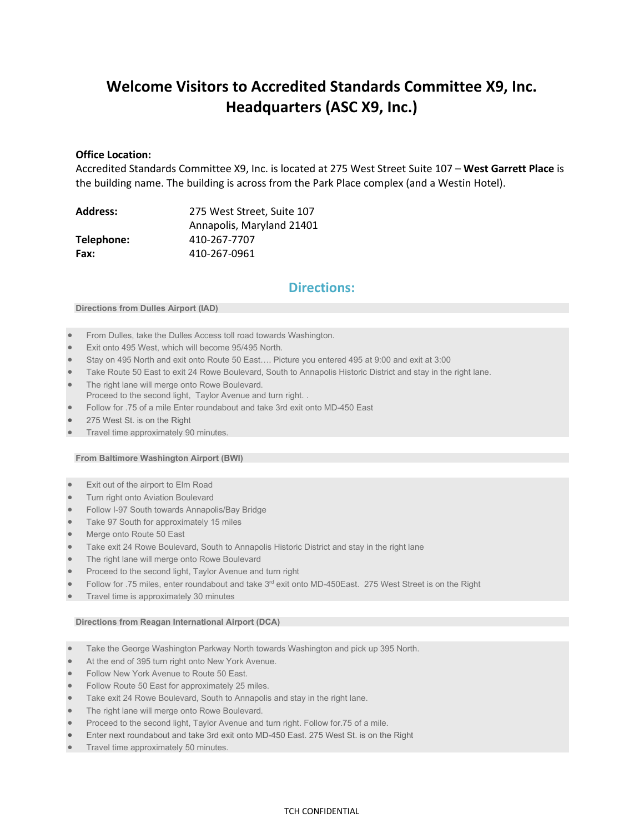## **Welcome Visitors to Accredited Standards Committee X9, Inc. Headquarters (ASC X9, Inc.)**

### **Office Location:**

Accredited Standards Committee X9, Inc. is located at 275 West Street Suite 107 – **West Garrett Place** is the building name. The building is across from the Park Place complex (and a Westin Hotel).

| <b>Address:</b> | 275 West Street, Suite 107 |  |  |  |
|-----------------|----------------------------|--|--|--|
|                 | Annapolis, Maryland 21401  |  |  |  |
| Telephone:      | 410-267-7707               |  |  |  |
| Fax:            | 410-267-0961               |  |  |  |

### **Directions:**

#### **Directions from Dulles Airport (IAD)**

- From Dulles, take the Dulles Access toll road towards Washington.
- Exit onto 495 West, which will become 95/495 North.
- Stay on 495 North and exit onto Route 50 East…. Picture you entered 495 at 9:00 and exit at 3:00
- Take Route 50 East to exit 24 Rowe Boulevard, South to Annapolis Historic District and stay in the right lane.
- The right lane will merge onto Rowe Boulevard. Proceed to the second light, Taylor Avenue and turn right. .
- Follow for .75 of a mile Enter roundabout and take 3rd exit onto MD-450 East
- 275 West St. is on the Right
- **•** Travel time approximately 90 minutes.

#### **From Baltimore Washington Airport (BWI)**

- Exit out of the airport to Elm Road
- Turn right onto Aviation Boulevard
- Follow I-97 South towards Annapolis/Bay Bridge
- Take 97 South for approximately 15 miles
- Merge onto Route 50 East
- Take exit 24 Rowe Boulevard, South to Annapolis Historic District and stay in the right lane
- The right lane will merge onto Rowe Boulevard
- Proceed to the second light, Taylor Avenue and turn right
- Follow for .75 miles, enter roundabout and take 3<sup>rd</sup> exit onto MD-450East. 275 West Street is on the Right
- Travel time is approximately 30 minutes

#### **Directions from Reagan International Airport (DCA)**

- Take the George Washington Parkway North towards Washington and pick up 395 North.
- At the end of 395 turn right onto New York Avenue.
- Follow New York Avenue to Route 50 East.
- Follow Route 50 East for approximately 25 miles.
- Take exit 24 Rowe Boulevard, South to Annapolis and stay in the right lane.
- The right lane will merge onto Rowe Boulevard.
- Proceed to the second light, Taylor Avenue and turn right. Follow for.75 of a mile.
- Enter next roundabout and take 3rd exit onto MD-450 East. 275 West St. is on the Right
- **•** Travel time approximately 50 minutes.

TCH CONFIDENTIAL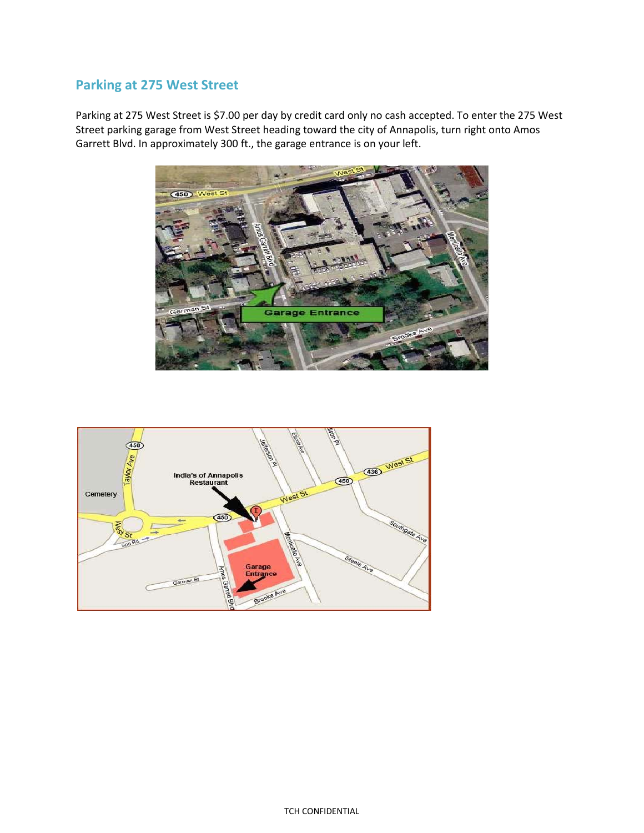## **Parking at 275 West Street**

Parking at 275 West Street is \$7.00 per day by credit card only no cash accepted. To enter the 275 West Street parking garage from West Street heading toward the city of Annapolis, turn right onto Amos Garrett Blvd. In approximately 300 ft., the garage entrance is on your left.



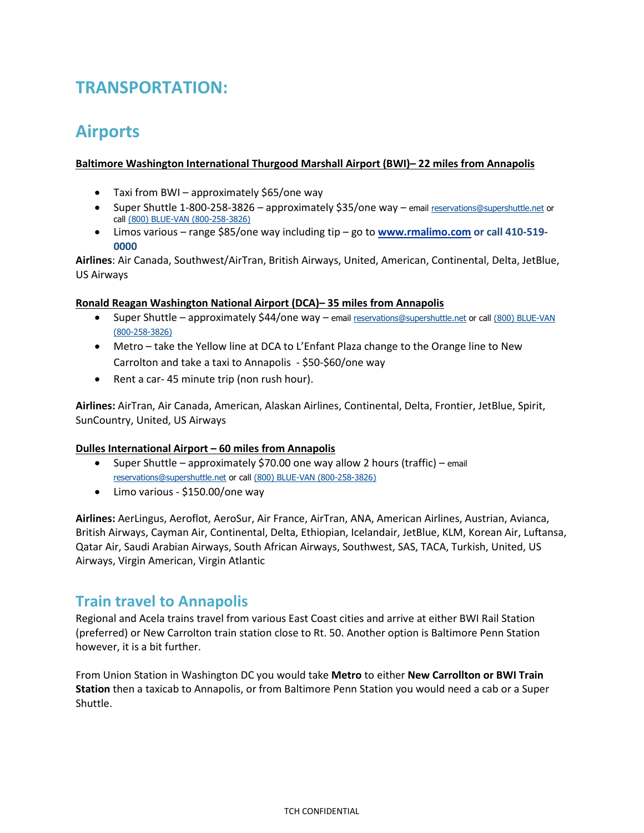# **TRANSPORTATION:**

# **Airports**

### **Baltimore Washington International Thurgood Marshall Airport (BWI)– 22 miles from Annapolis**

- Taxi from BWI approximately \$65/one way
- Super Shuttle 1-800-258-3826 approximately \$35/one way email [reservations@supershuttle.net](mailto:reservations@supershuttle.net) or call [\(800\) BLUE-VAN \(800-258-3826\)](tel:18002583826)
- Limos various range \$85/one way including tip go to **[www.rmalimo.com](http://www.rmalimo.com/) or call 410-519- 0000**

**Airlines**: Air Canada, Southwest/AirTran, British Airways, United, American, Continental, Delta, JetBlue, US Airways

### **Ronald Reagan Washington National Airport (DCA)– 35 miles from Annapolis**

- Super Shuttle approximately \$44/one way email [reservations@supershuttle.net](mailto:reservations@supershuttle.net) or call (800) BLUE-VAN [\(800-258-3826\)](tel:18002583826)
- Metro take the Yellow line at DCA to L'Enfant Plaza change to the Orange line to New Carrolton and take a taxi to Annapolis - \$50-\$60/one way
- Rent a car- 45 minute trip (non rush hour).

**Airlines:** AirTran, Air Canada, American, Alaskan Airlines, Continental, Delta, Frontier, JetBlue, Spirit, SunCountry, United, US Airways

#### **Dulles International Airport – 60 miles from Annapolis**

- Super Shuttle approximately \$70.00 one way allow 2 hours (traffic) email [reservations@supershuttle.net](mailto:reservations@supershuttle.net) or cal[l \(800\) BLUE-VAN \(800-258-3826\)](tel:18002583826)
- Limo various \$150.00/one way

**Airlines:** AerLingus, Aeroflot, AeroSur, Air France, AirTran, ANA, American Airlines, Austrian, Avianca, British Airways, Cayman Air, Continental, Delta, Ethiopian, Icelandair, JetBlue, KLM, Korean Air, Luftansa, Qatar Air, Saudi Arabian Airways, South African Airways, Southwest, SAS, TACA, Turkish, United, US Airways, Virgin American, Virgin Atlantic

## **Train travel to Annapolis**

Regional and Acela trains travel from various East Coast cities and arrive at either BWI Rail Station (preferred) or New Carrolton train station close to Rt. 50. Another option is Baltimore Penn Station however, it is a bit further.

From Union Station in Washington DC you would take **Metro** to either **New Carrollton or BWI Train Station** then a taxicab to Annapolis, or from Baltimore Penn Station you would need a cab or a Super Shuttle.